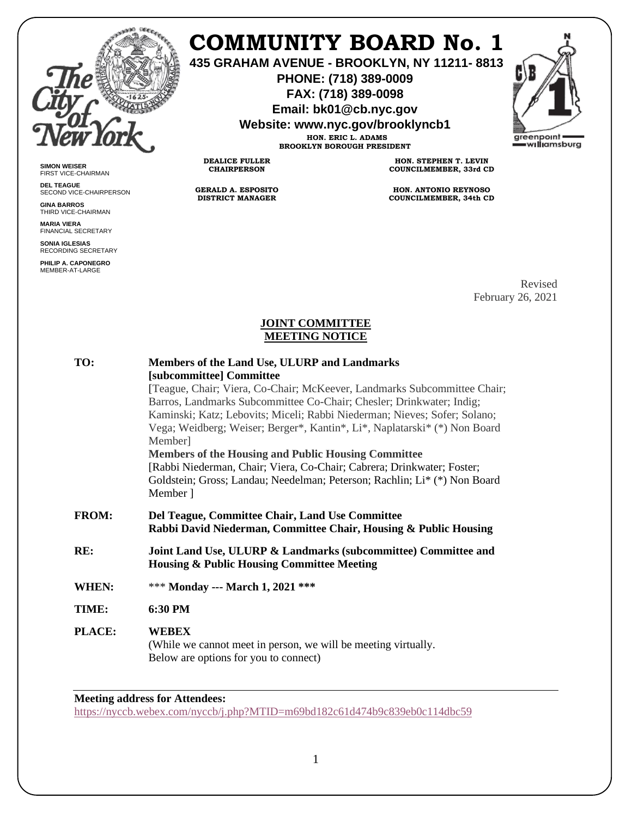

**SIMON WEISER** FIRST VICE-CHAIRMAN **DEL TEAGUE**

**GINA BARROS** THIRD VICE-CHAIRMAN **MARIA VIERA** FINANCIAL SECRETARY **SONIA IGLESIAS** RECORDING SECRETARY **PHILIP A. CAPONEGRO** MEMBER-AT-LARGE

SECOND VICE-CHAIRPERSON

# **COMMUNITY BOARD No. 1**

**435 GRAHAM AVENUE - BROOKLYN, NY 11211- 8813**

**PHONE: (718) 389-0009 FAX: (718) 389-0098**

**Email: bk01@cb.nyc.gov**

**Website: www.nyc.gov/brooklyncb1**

**HON. ERIC L. ADAMS BROOKLYN BOROUGH PRESIDENT**

**DEALICE FULLER CHAIRPERSON**

**GERALD A. ESPOSITO DISTRICT MANAGER**

**HON. STEPHEN T. LEVIN COUNCILMEMBER, 33rd CD**

**HON. ANTONIO REYNOSO COUNCILMEMBER, 34th CD**

> Revised February 26, 2021

### **JOINT COMMITTEE MEETING NOTICE**

| TO:           | Members of the Land Use, ULURP and Landmarks<br>[subcommittee] Committee<br>[Teague, Chair; Viera, Co-Chair; McKeever, Landmarks Subcommittee Chair;<br>Barros, Landmarks Subcommittee Co-Chair; Chesler; Drinkwater; Indig;<br>Kaminski; Katz; Lebovits; Miceli; Rabbi Niederman; Nieves; Sofer; Solano;<br>Vega; Weidberg; Weiser; Berger*, Kantin*, Li*, Naplatarski* (*) Non Board<br>Member]<br><b>Members of the Housing and Public Housing Committee</b><br>[Rabbi Niederman, Chair; Viera, Co-Chair; Cabrera; Drinkwater; Foster;<br>Goldstein; Gross; Landau; Needelman; Peterson; Rachlin; Li* (*) Non Board<br>Member 1 |
|---------------|------------------------------------------------------------------------------------------------------------------------------------------------------------------------------------------------------------------------------------------------------------------------------------------------------------------------------------------------------------------------------------------------------------------------------------------------------------------------------------------------------------------------------------------------------------------------------------------------------------------------------------|
| <b>FROM:</b>  | Del Teague, Committee Chair, Land Use Committee<br>Rabbi David Niederman, Committee Chair, Housing & Public Housing                                                                                                                                                                                                                                                                                                                                                                                                                                                                                                                |
| RE:           | Joint Land Use, ULURP & Landmarks (subcommittee) Committee and<br><b>Housing &amp; Public Housing Committee Meeting</b>                                                                                                                                                                                                                                                                                                                                                                                                                                                                                                            |
| WHEN:         | *** Monday --- March 1, 2021 ***                                                                                                                                                                                                                                                                                                                                                                                                                                                                                                                                                                                                   |
| TIME:         | 6:30 PM                                                                                                                                                                                                                                                                                                                                                                                                                                                                                                                                                                                                                            |
| <b>PLACE:</b> | WEBEX<br>(While we cannot meet in person, we will be meeting virtually.<br>Below are options for you to connect)                                                                                                                                                                                                                                                                                                                                                                                                                                                                                                                   |

## **Meeting address for Attendees:**

<https://nyccb.webex.com/nyccb/j.php?MTID=m69bd182c61d474b9c839eb0c114dbc59>